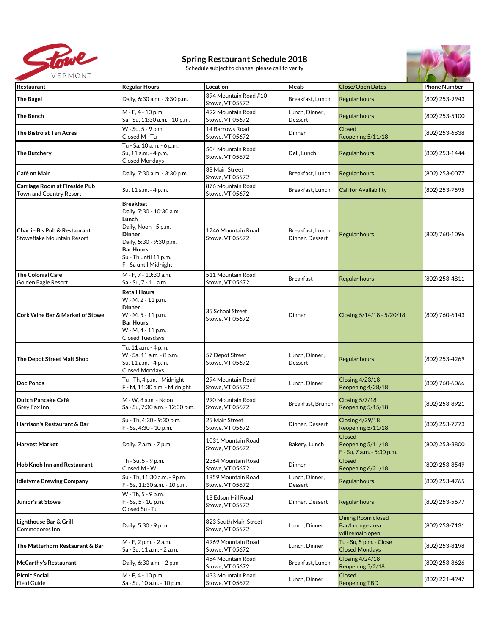

## **Spring Restaurant Schedule 2018**

Schedule subject to change, please call to verify



| Restaurant                                                      | <b>Regular Hours</b>                                                                                                                                                                            | Location                                 | Meals                                | <b>Close/Open Dates</b>                                          | <b>Phone Number</b> |
|-----------------------------------------------------------------|-------------------------------------------------------------------------------------------------------------------------------------------------------------------------------------------------|------------------------------------------|--------------------------------------|------------------------------------------------------------------|---------------------|
| <b>The Bagel</b>                                                | Daily, 6:30 a.m. - 3:30 p.m.                                                                                                                                                                    | 394 Mountain Road #10<br>Stowe, VT 05672 | Breakfast, Lunch                     | <b>Regular hours</b>                                             | (802) 253-9943      |
| <b>The Bench</b>                                                | M - F, 4 - 10 p.m.<br>Sa - Su, 11:30 a.m. - 10 p.m.                                                                                                                                             | 492 Mountain Road<br>Stowe, VT 05672     | Lunch, Dinner,<br><b>Dessert</b>     | <b>Regular hours</b>                                             | (802) 253-5100      |
| The Bistro at Ten Acres                                         | W - Su, 5 - 9 p.m.<br>Closed M - Tu                                                                                                                                                             | 14 Barrows Road<br>Stowe, VT 05672       | Dinner                               | Closed<br>Reopening 5/11/18                                      | (802) 253-6838      |
| <b>The Butchery</b>                                             | Tu - Sa, 10 a.m. - 6 p.m.<br>Su, 11 a.m. - 4 p.m.<br><b>Closed Mondays</b>                                                                                                                      | 504 Mountain Road<br>Stowe, VT 05672     | Deli, Lunch                          | <b>Regular hours</b>                                             | (802) 253-1444      |
| Café on Main                                                    | Daily, 7:30 a.m. - 3:30 p.m.                                                                                                                                                                    | 38 Main Street<br>Stowe, VT 05672        | Breakfast, Lunch                     | <b>Regular hours</b>                                             | (802) 253-0077      |
| <b>Carriage Room at Fireside Pub</b><br>Town and Country Resort | Su, 11 a.m. - 4 p.m.                                                                                                                                                                            | 876 Mountain Road<br>Stowe, VT 05672     | Breakfast, Lunch                     | <b>Call for Availability</b>                                     | (802) 253-7595      |
| Charlie B's Pub & Restaurant<br>Stoweflake Mountain Resort      | <b>Breakfast</b><br>Daily, 7:30 - 10:30 a.m.<br>Lunch<br>Daily, Noon - 5 p.m.<br><b>Dinner</b><br>Daily, 5:30 - 9:30 p.m.<br><b>Bar Hours</b><br>Su - Th until 11 p.m.<br>F - Sa until Midnight | 1746 Mountain Road<br>Stowe, VT 05672    | Breakfast, Lunch,<br>Dinner, Dessert | <b>Regular hours</b>                                             | (802) 760-1096      |
| <b>The Colonial Café</b><br>Golden Eagle Resort                 | M - F, 7 - 10:30 a.m.<br>Sa - Su, 7 - 11 a.m.                                                                                                                                                   | 511 Mountain Road<br>Stowe, VT 05672     | <b>Breakfast</b>                     | <b>Regular hours</b>                                             | (802) 253-4811      |
| <b>Cork Wine Bar &amp; Market of Stowe</b>                      | <b>Retail Hours</b><br>W - M, 2 - 11 p.m.<br><b>Dinner</b><br>W - M, 5 - 11 p.m.<br><b>Bar Hours</b><br>W - M, 4 - 11 p.m.<br>Closed Tuesdays                                                   | 35 School Street<br>Stowe, VT 05672      | Dinner                               | Closing 5/14/18 - 5/20/18                                        | (802) 760-6143      |
| The Depot Street Malt Shop                                      | Tu, 11 a.m. - 4 p.m.<br>W - Sa, 11 a.m. - 8 p.m.<br>Su, 11 a.m. - 4 p.m.<br><b>Closed Mondays</b>                                                                                               | 57 Depot Street<br>Stowe, VT 05672       | Lunch, Dinner,<br><b>Dessert</b>     | <b>Regular hours</b>                                             | (802) 253-4269      |
| <b>Doc Ponds</b>                                                | Tu - Th, 4 p.m. - Midnight<br>F - M, 11:30 a.m. - Midnight                                                                                                                                      | 294 Mountain Road<br>Stowe, VT 05672     | Lunch, Dinner                        | <b>Closing 4/23/18</b><br>Reopening 4/28/18                      | (802) 760-6066      |
| Dutch Pancake Café<br>Grey Fox Inn                              | M - W. 8 a.m. - Noon<br>Sa - Su, 7:30 a.m. - 12:30 p.m.                                                                                                                                         | 990 Mountain Road<br>Stowe, VT 05672     | Breakfast, Brunch                    | Closing 5/7/18<br>Reopening 5/15/18                              | (802) 253-8921      |
| Harrison's Restaurant & Bar                                     | Su - Th. 4:30 - 9:30 p.m.<br>F - Sa, 4:30 - 10 p.m.                                                                                                                                             | 25 Main Street<br>Stowe, VT 05672        | Dinner, Dessert                      | <b>Closing 4/29/18</b><br>Reopening 5/11/18                      | (802) 253-7773      |
| <b>Harvest Market</b>                                           | Daily, 7 a.m. - 7 p.m.                                                                                                                                                                          | 1031 Mountain Road<br>Stowe, VT 05672    | Bakery, Lunch                        | <b>Closed</b><br>Reopening 5/11/18<br>F - Su, 7 a.m. - 5:30 p.m. | (802) 253-3800      |
| <b>Hob Knob Inn and Restaurant</b>                              | Th - Su, 5 - 9 p.m.<br>Closed M - W                                                                                                                                                             | 2364 Mountain Road<br>Stowe, VT 05672    | Dinner                               | Closed<br>Reopening 6/21/18                                      | (802) 253-8549      |
| <b>Idletyme Brewing Company</b>                                 | Su - Th, 11:30 a.m. - 9p.m.<br>F - Sa, 11:30 a.m. - 10 p.m.                                                                                                                                     | 1859 Mountain Road<br>Stowe, VT 05672    | Lunch, Dinner,<br>Dessert            | <b>Regular hours</b>                                             | (802) 253-4765      |
| Junior's at Stowe                                               | W - Th, 5 - 9 p.m.<br>F - Sa, 5 - 10 p.m.<br>Closed Su - Tu                                                                                                                                     | 18 Edson Hill Road<br>Stowe, VT 05672    | Dinner, Dessert                      | <b>Regular hours</b>                                             | (802) 253-5677      |
| Lighthouse Bar & Grill<br>Commodores Inn                        | Daily, 5:30 - 9 p.m.                                                                                                                                                                            | 823 South Main Street<br>Stowe, VT 05672 | Lunch, Dinner                        | Dining Room closed<br>Bar/Lounge area<br>will remain open        | (802) 253-7131      |
| The Matterhorn Restaurant & Bar                                 | M - F, 2 p.m. - 2 a.m.<br>Sa - Su, 11 a.m. - 2 a.m.                                                                                                                                             | 4969 Mountain Road<br>Stowe, VT 05672    | Lunch, Dinner                        | Tu - Su, 5 p.m. - Close<br><b>Closed Mondays</b>                 | (802) 253-8198      |
| <b>McCarthy's Restaurant</b>                                    | Daily, 6:30 a.m. - 2 p.m.                                                                                                                                                                       | 454 Mountain Road<br>Stowe, VT 05672     | Breakfast, Lunch                     | Closing 4/24/18<br>Reopening 5/2/18                              | (802) 253-8626      |
| <b>Picnic Social</b><br>Field Guide                             | M - F, 4 - 10 p.m.<br>Sa - Su, 10 a.m. - 10 p.m.                                                                                                                                                | 433 Mountain Road<br>Stowe, VT 05672     | Lunch, Dinner                        | <b>Closed</b><br><b>Reopening TBD</b>                            | (802) 221-4947      |